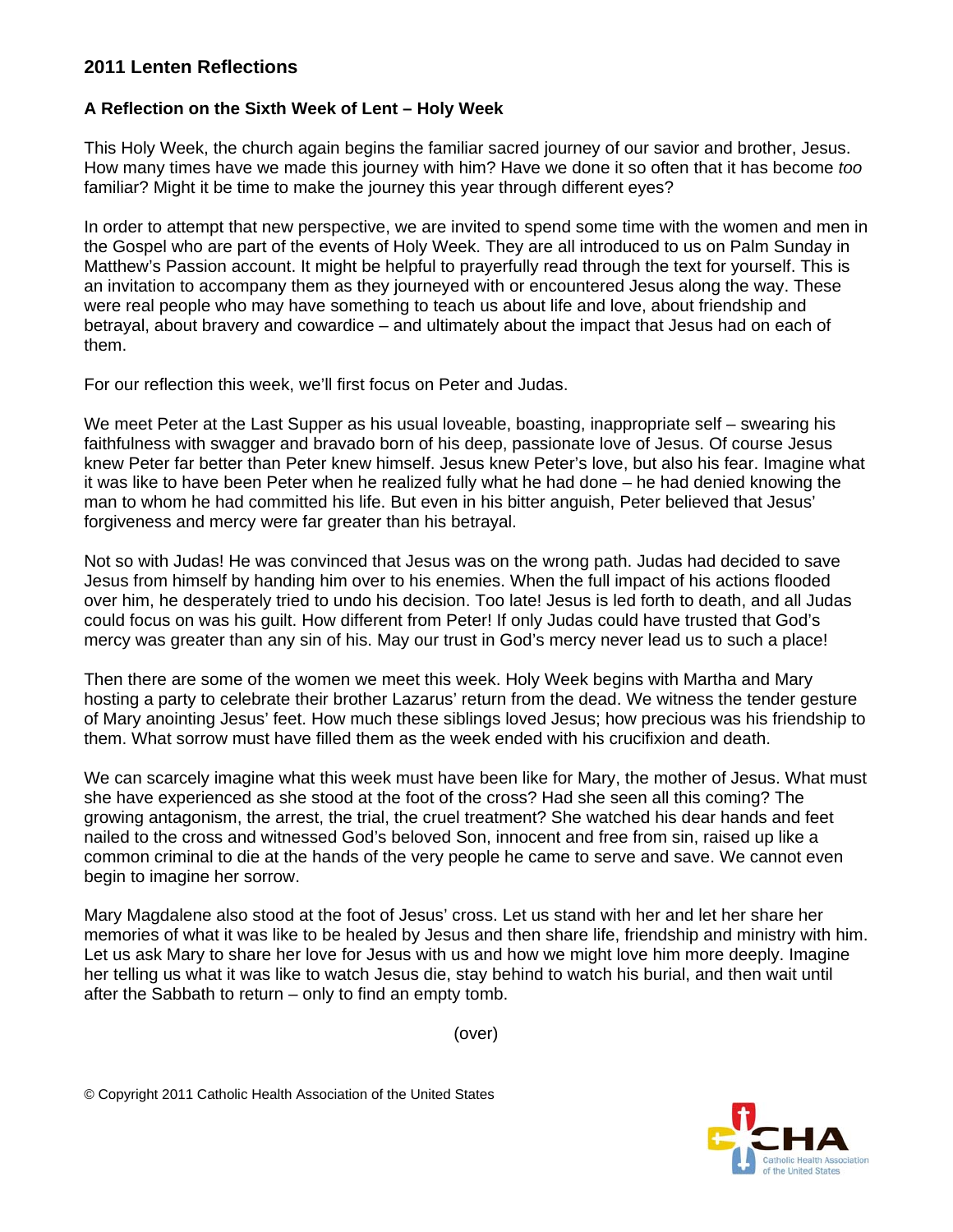## **2011 Lenten Reflections**

## **A Reflection on the Sixth Week of Lent – Holy Week**

This Holy Week, the church again begins the familiar sacred journey of our savior and brother, Jesus. How many times have we made this journey with him? Have we done it so often that it has become *too* familiar? Might it be time to make the journey this year through different eyes?

In order to attempt that new perspective, we are invited to spend some time with the women and men in the Gospel who are part of the events of Holy Week. They are all introduced to us on Palm Sunday in Matthew's Passion account. It might be helpful to prayerfully read through the text for yourself. This is an invitation to accompany them as they journeyed with or encountered Jesus along the way. These were real people who may have something to teach us about life and love, about friendship and betrayal, about bravery and cowardice – and ultimately about the impact that Jesus had on each of them.

For our reflection this week, we'll first focus on Peter and Judas.

We meet Peter at the Last Supper as his usual loveable, boasting, inappropriate self – swearing his faithfulness with swagger and bravado born of his deep, passionate love of Jesus. Of course Jesus knew Peter far better than Peter knew himself. Jesus knew Peter's love, but also his fear. Imagine what it was like to have been Peter when he realized fully what he had done – he had denied knowing the man to whom he had committed his life. But even in his bitter anguish, Peter believed that Jesus' forgiveness and mercy were far greater than his betrayal.

Not so with Judas! He was convinced that Jesus was on the wrong path. Judas had decided to save Jesus from himself by handing him over to his enemies. When the full impact of his actions flooded over him, he desperately tried to undo his decision. Too late! Jesus is led forth to death, and all Judas could focus on was his guilt. How different from Peter! If only Judas could have trusted that God's mercy was greater than any sin of his. May our trust in God's mercy never lead us to such a place!

Then there are some of the women we meet this week. Holy Week begins with Martha and Mary hosting a party to celebrate their brother Lazarus' return from the dead. We witness the tender gesture of Mary anointing Jesus' feet. How much these siblings loved Jesus; how precious was his friendship to them. What sorrow must have filled them as the week ended with his crucifixion and death.

We can scarcely imagine what this week must have been like for Mary, the mother of Jesus. What must she have experienced as she stood at the foot of the cross? Had she seen all this coming? The growing antagonism, the arrest, the trial, the cruel treatment? She watched his dear hands and feet nailed to the cross and witnessed God's beloved Son, innocent and free from sin, raised up like a common criminal to die at the hands of the very people he came to serve and save. We cannot even begin to imagine her sorrow.

Mary Magdalene also stood at the foot of Jesus' cross. Let us stand with her and let her share her memories of what it was like to be healed by Jesus and then share life, friendship and ministry with him. Let us ask Mary to share her love for Jesus with us and how we might love him more deeply. Imagine her telling us what it was like to watch Jesus die, stay behind to watch his burial, and then wait until after the Sabbath to return – only to find an empty tomb.

(over)

© Copyright 2011 Catholic Health Association of the United States